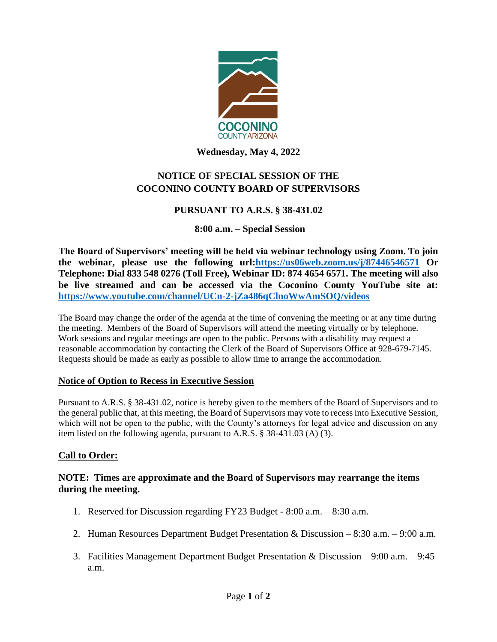

**Wednesday, May 4, 2022**

# **NOTICE OF SPECIAL SESSION OF THE COCONINO COUNTY BOARD OF SUPERVISORS**

# **PURSUANT TO A.R.S. § 38-431.02**

# **8:00 a.m. – Special Session**

**The Board of Supervisors' meeting will be held via webinar technology using Zoom. To join the webinar, please use the following url[:https://us06web.zoom.us/j/87446546571](https://us06web.zoom.us/j/87446546571) Or Telephone: Dial 833 548 0276 (Toll Free), Webinar ID: 874 4654 6571. The meeting will also be live streamed and can be accessed via the Coconino County YouTube site at: <https://www.youtube.com/channel/UCn-2-jZa486qClnoWwAmSOQ/videos>**

The Board may change the order of the agenda at the time of convening the meeting or at any time during the meeting. Members of the Board of Supervisors will attend the meeting virtually or by telephone. Work sessions and regular meetings are open to the public. Persons with a disability may request a reasonable accommodation by contacting the Clerk of the Board of Supervisors Office at 928-679-7145. Requests should be made as early as possible to allow time to arrange the accommodation.

### **Notice of Option to Recess in Executive Session**

Pursuant to A.R.S. § 38-431.02, notice is hereby given to the members of the Board of Supervisors and to the general public that, at this meeting, the Board of Supervisors may vote to recess into Executive Session, which will not be open to the public, with the County's attorneys for legal advice and discussion on any item listed on the following agenda, pursuant to A.R.S. § 38-431.03 (A) (3).

# **Call to Order:**

# **NOTE: Times are approximate and the Board of Supervisors may rearrange the items during the meeting.**

- 1. Reserved for Discussion regarding FY23 Budget 8:00 a.m. 8:30 a.m.
- 2. Human Resources Department Budget Presentation & Discussion 8:30 a.m. 9:00 a.m.
- 3. Facilities Management Department Budget Presentation & Discussion 9:00 a.m. 9:45 a.m.